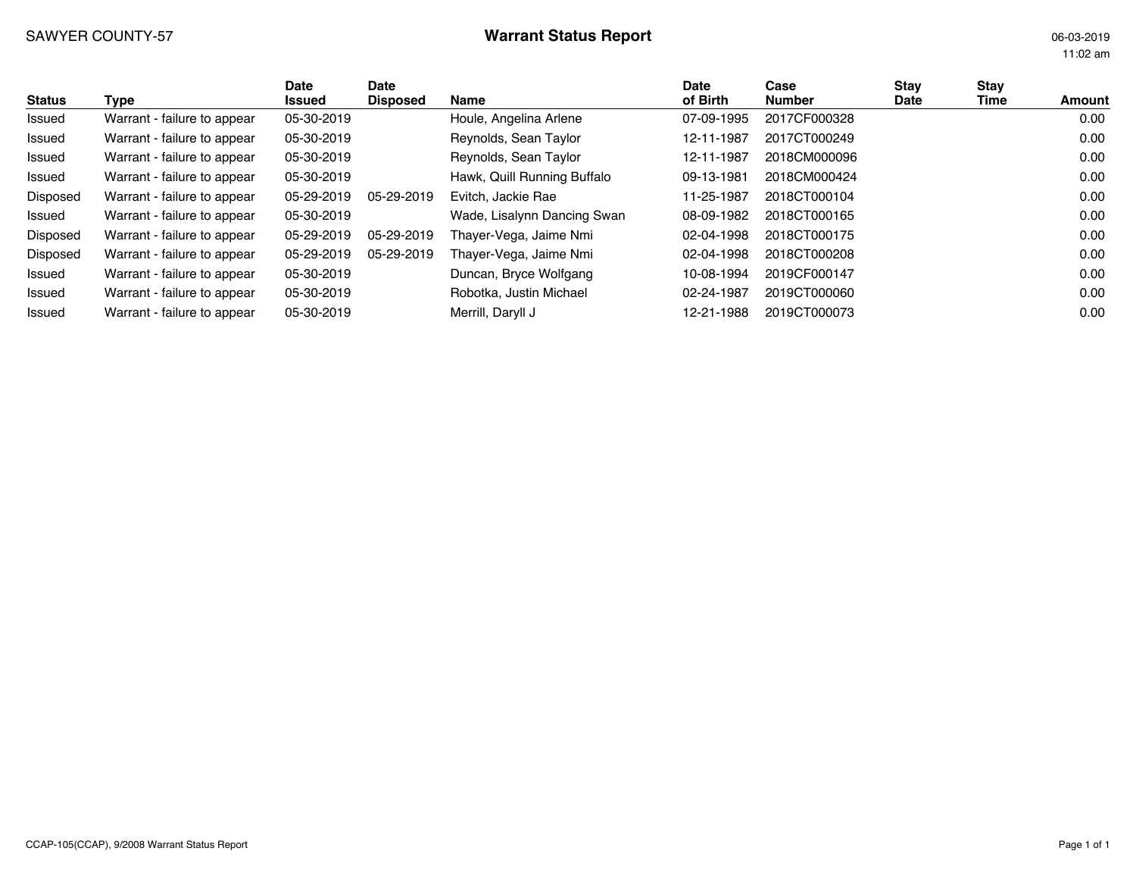# SAWYER COUNTY-57 **Warrant Status Report Warrant Status Report** 06-03-2019

11:02 am

| <b>Status</b> | Type                        | Date<br>Issued | Date<br><b>Disposed</b> | Name                        | <b>Date</b><br>of Birth | Case<br><b>Number</b> | Stav<br>Date | <b>Stay</b><br>Time | Amount |
|---------------|-----------------------------|----------------|-------------------------|-----------------------------|-------------------------|-----------------------|--------------|---------------------|--------|
| Issued        | Warrant - failure to appear | 05-30-2019     |                         | Houle, Angelina Arlene      | 07-09-1995              | 2017CF000328          |              |                     | 0.00   |
| Issued        | Warrant - failure to appear | 05-30-2019     |                         | Reynolds, Sean Taylor       | 12-11-1987              | 2017CT000249          |              |                     | 0.00   |
| Issued        | Warrant - failure to appear | 05-30-2019     |                         | Reynolds, Sean Taylor       | 12-11-1987              | 2018CM000096          |              |                     | 0.00   |
| Issued        | Warrant - failure to appear | 05-30-2019     |                         | Hawk, Quill Running Buffalo | 09-13-1981              | 2018CM000424          |              |                     | 0.00   |
| Disposed      | Warrant - failure to appear | 05-29-2019     | 05-29-2019              | Evitch, Jackie Rae          | 11-25-1987              | 2018CT000104          |              |                     | 0.00   |
| Issued        | Warrant - failure to appear | 05-30-2019     |                         | Wade, Lisalynn Dancing Swan | 08-09-1982              | 2018CT000165          |              |                     | 0.00   |
| Disposed      | Warrant - failure to appear | 05-29-2019     | 05-29-2019              | Thayer-Vega, Jaime Nmi      | 02-04-1998              | 2018CT000175          |              |                     | 0.00   |
| Disposed      | Warrant - failure to appear | 05-29-2019     | 05-29-2019              | Thaver-Vega, Jaime Nmi      | 02-04-1998              | 2018CT000208          |              |                     | 0.00   |
| Issued        | Warrant - failure to appear | 05-30-2019     |                         | Duncan, Bryce Wolfgang      | 10-08-1994              | 2019CF000147          |              |                     | 0.00   |
| Issued        | Warrant - failure to appear | 05-30-2019     |                         | Robotka, Justin Michael     | 02-24-1987              | 2019CT000060          |              |                     | 0.00   |
| Issued        | Warrant - failure to appear | 05-30-2019     |                         | Merrill, Daryll J           | 12-21-1988              | 2019CT000073          |              |                     | 0.00   |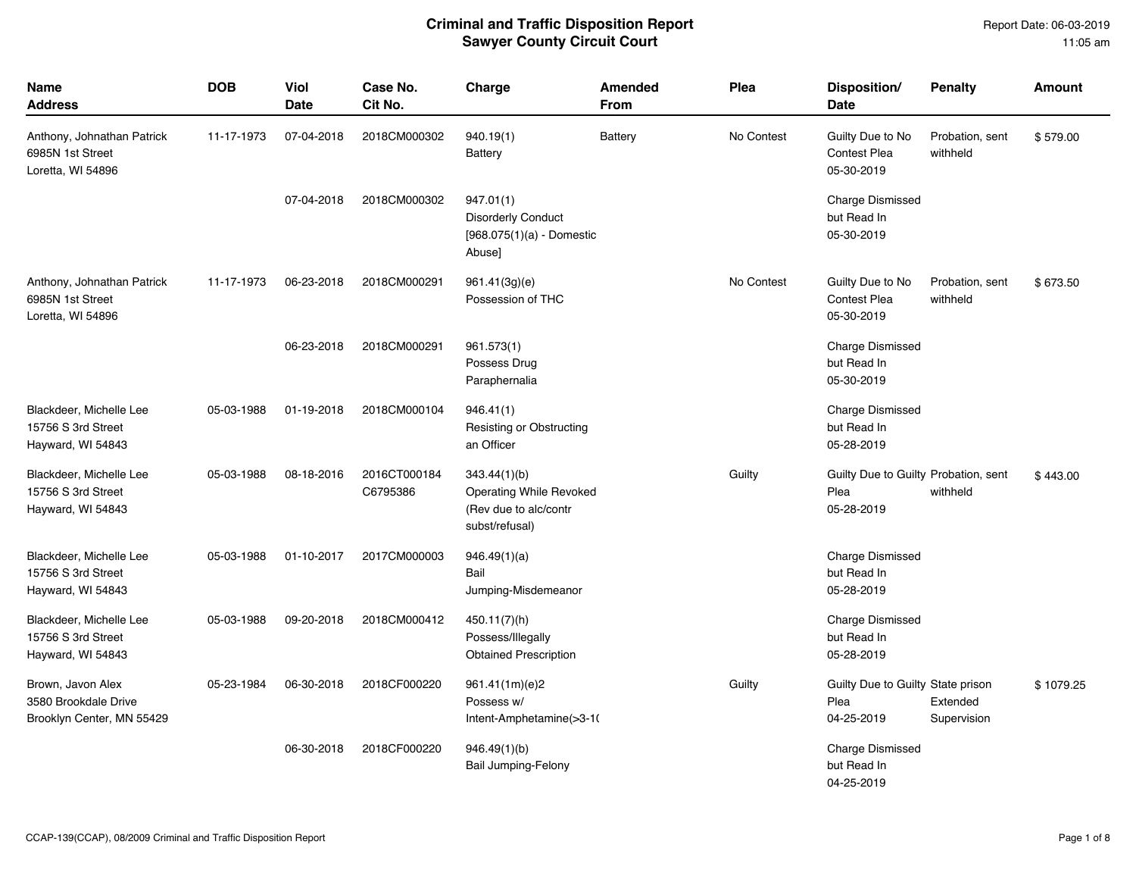| Name<br><b>Address</b>                                                 | <b>DOB</b> | <b>Viol</b><br>Date | Case No.<br>Cit No.      | Charge                                                                             | <b>Amended</b><br><b>From</b> | Plea       | Disposition/<br>Date                                       | <b>Penalty</b>              | <b>Amount</b> |
|------------------------------------------------------------------------|------------|---------------------|--------------------------|------------------------------------------------------------------------------------|-------------------------------|------------|------------------------------------------------------------|-----------------------------|---------------|
| Anthony, Johnathan Patrick<br>6985N 1st Street<br>Loretta, WI 54896    | 11-17-1973 | 07-04-2018          | 2018CM000302             | 940.19(1)<br>Battery                                                               | <b>Battery</b>                | No Contest | Guilty Due to No<br><b>Contest Plea</b><br>05-30-2019      | Probation, sent<br>withheld | \$579.00      |
|                                                                        |            | 07-04-2018          | 2018CM000302             | 947.01(1)<br><b>Disorderly Conduct</b><br>$[968.075(1)(a)$ - Domestic<br>Abuse]    |                               |            | Charge Dismissed<br>but Read In<br>05-30-2019              |                             |               |
| Anthony, Johnathan Patrick<br>6985N 1st Street<br>Loretta, WI 54896    | 11-17-1973 | 06-23-2018          | 2018CM000291             | 961.41(3g)(e)<br>Possession of THC                                                 |                               | No Contest | Guilty Due to No<br><b>Contest Plea</b><br>05-30-2019      | Probation, sent<br>withheld | \$673.50      |
|                                                                        |            | 06-23-2018          | 2018CM000291             | 961.573(1)<br>Possess Drug<br>Paraphernalia                                        |                               |            | Charge Dismissed<br>but Read In<br>05-30-2019              |                             |               |
| Blackdeer, Michelle Lee<br>15756 S 3rd Street<br>Hayward, WI 54843     | 05-03-1988 | 01-19-2018          | 2018CM000104             | 946.41(1)<br>Resisting or Obstructing<br>an Officer                                |                               |            | Charge Dismissed<br>but Read In<br>05-28-2019              |                             |               |
| Blackdeer, Michelle Lee<br>15756 S 3rd Street<br>Hayward, WI 54843     | 05-03-1988 | 08-18-2016          | 2016CT000184<br>C6795386 | 343.44(1)(b)<br>Operating While Revoked<br>(Rev due to alc/contr<br>subst/refusal) |                               | Guilty     | Guilty Due to Guilty Probation, sent<br>Plea<br>05-28-2019 | withheld                    | \$443.00      |
| Blackdeer, Michelle Lee<br>15756 S 3rd Street<br>Hayward, WI 54843     | 05-03-1988 | 01-10-2017          | 2017CM000003             | 946.49(1)(a)<br>Bail<br>Jumping-Misdemeanor                                        |                               |            | <b>Charge Dismissed</b><br>but Read In<br>05-28-2019       |                             |               |
| Blackdeer, Michelle Lee<br>15756 S 3rd Street<br>Hayward, WI 54843     | 05-03-1988 | 09-20-2018          | 2018CM000412             | 450.11(7)(h)<br>Possess/Illegally<br><b>Obtained Prescription</b>                  |                               |            | <b>Charge Dismissed</b><br>but Read In<br>05-28-2019       |                             |               |
| Brown, Javon Alex<br>3580 Brookdale Drive<br>Brooklyn Center, MN 55429 | 05-23-1984 | 06-30-2018          | 2018CF000220             | 961.41(1m)(e)2<br>Possess w/<br>Intent-Amphetamine(>3-10                           |                               | Guilty     | Guilty Due to Guilty State prison<br>Plea<br>04-25-2019    | Extended<br>Supervision     | \$1079.25     |
|                                                                        |            | 06-30-2018          | 2018CF000220             | 946.49(1)(b)<br><b>Bail Jumping-Felony</b>                                         |                               |            | <b>Charge Dismissed</b><br>but Read In<br>04-25-2019       |                             |               |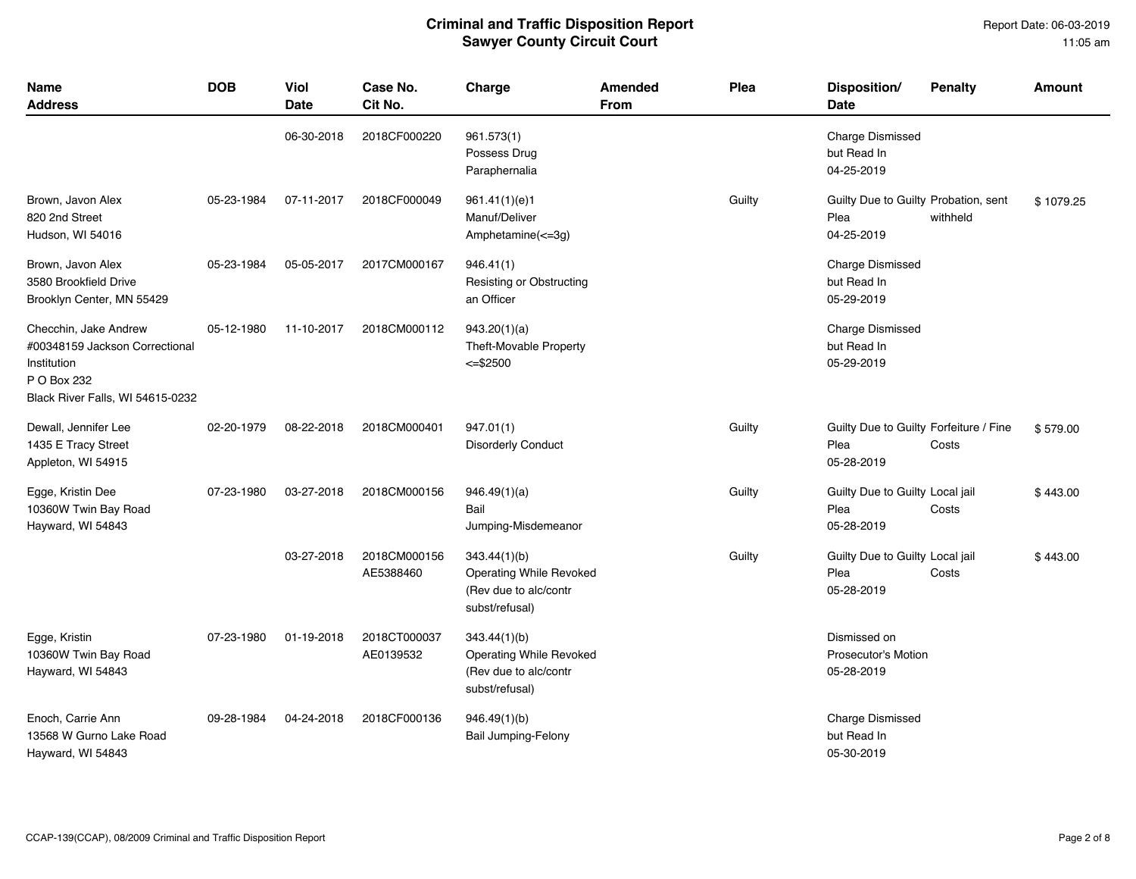| <b>Name</b><br><b>Address</b>                                                                                             | <b>DOB</b> | Viol<br>Date | Case No.<br>Cit No.       | Charge                                                                                    | Amended<br><b>From</b> | Plea   | Disposition/<br><b>Date</b>                                  | <b>Penalty</b> | <b>Amount</b> |
|---------------------------------------------------------------------------------------------------------------------------|------------|--------------|---------------------------|-------------------------------------------------------------------------------------------|------------------------|--------|--------------------------------------------------------------|----------------|---------------|
|                                                                                                                           |            | 06-30-2018   | 2018CF000220              | 961.573(1)<br>Possess Drug<br>Paraphernalia                                               |                        |        | <b>Charge Dismissed</b><br>but Read In<br>04-25-2019         |                |               |
| Brown, Javon Alex<br>820 2nd Street<br>Hudson, WI 54016                                                                   | 05-23-1984 | 07-11-2017   | 2018CF000049              | 961.41(1)(e)1<br>Manuf/Deliver<br>Amphetamine(<=3g)                                       |                        | Guilty | Guilty Due to Guilty Probation, sent<br>Plea<br>04-25-2019   | withheld       | \$1079.25     |
| Brown, Javon Alex<br>3580 Brookfield Drive<br>Brooklyn Center, MN 55429                                                   | 05-23-1984 | 05-05-2017   | 2017CM000167              | 946.41(1)<br>Resisting or Obstructing<br>an Officer                                       |                        |        | <b>Charge Dismissed</b><br>but Read In<br>05-29-2019         |                |               |
| Checchin, Jake Andrew<br>#00348159 Jackson Correctional<br>Institution<br>P O Box 232<br>Black River Falls, WI 54615-0232 | 05-12-1980 | 11-10-2017   | 2018CM000112              | 943.20(1)(a)<br>Theft-Movable Property<br>$<=$ \$2500                                     |                        |        | <b>Charge Dismissed</b><br>but Read In<br>05-29-2019         |                |               |
| Dewall, Jennifer Lee<br>1435 E Tracy Street<br>Appleton, WI 54915                                                         | 02-20-1979 | 08-22-2018   | 2018CM000401              | 947.01(1)<br><b>Disorderly Conduct</b>                                                    |                        | Guilty | Guilty Due to Guilty Forfeiture / Fine<br>Plea<br>05-28-2019 | Costs          | \$579.00      |
| Egge, Kristin Dee<br>10360W Twin Bay Road<br>Hayward, WI 54843                                                            | 07-23-1980 | 03-27-2018   | 2018CM000156              | 946.49(1)(a)<br>Bail<br>Jumping-Misdemeanor                                               |                        | Guilty | Guilty Due to Guilty Local jail<br>Plea<br>05-28-2019        | Costs          | \$443.00      |
|                                                                                                                           |            | 03-27-2018   | 2018CM000156<br>AE5388460 | 343.44(1)(b)<br><b>Operating While Revoked</b><br>(Rev due to alc/contr<br>subst/refusal) |                        | Guilty | Guilty Due to Guilty Local jail<br>Plea<br>05-28-2019        | Costs          | \$443.00      |
| Egge, Kristin<br>10360W Twin Bay Road<br>Hayward, WI 54843                                                                | 07-23-1980 | 01-19-2018   | 2018CT000037<br>AE0139532 | 343.44(1)(b)<br><b>Operating While Revoked</b><br>(Rev due to alc/contr<br>subst/refusal) |                        |        | Dismissed on<br>Prosecutor's Motion<br>05-28-2019            |                |               |
| Enoch, Carrie Ann<br>13568 W Gurno Lake Road<br>Hayward, WI 54843                                                         | 09-28-1984 | 04-24-2018   | 2018CF000136              | 946.49(1)(b)<br><b>Bail Jumping-Felony</b>                                                |                        |        | <b>Charge Dismissed</b><br>but Read In<br>05-30-2019         |                |               |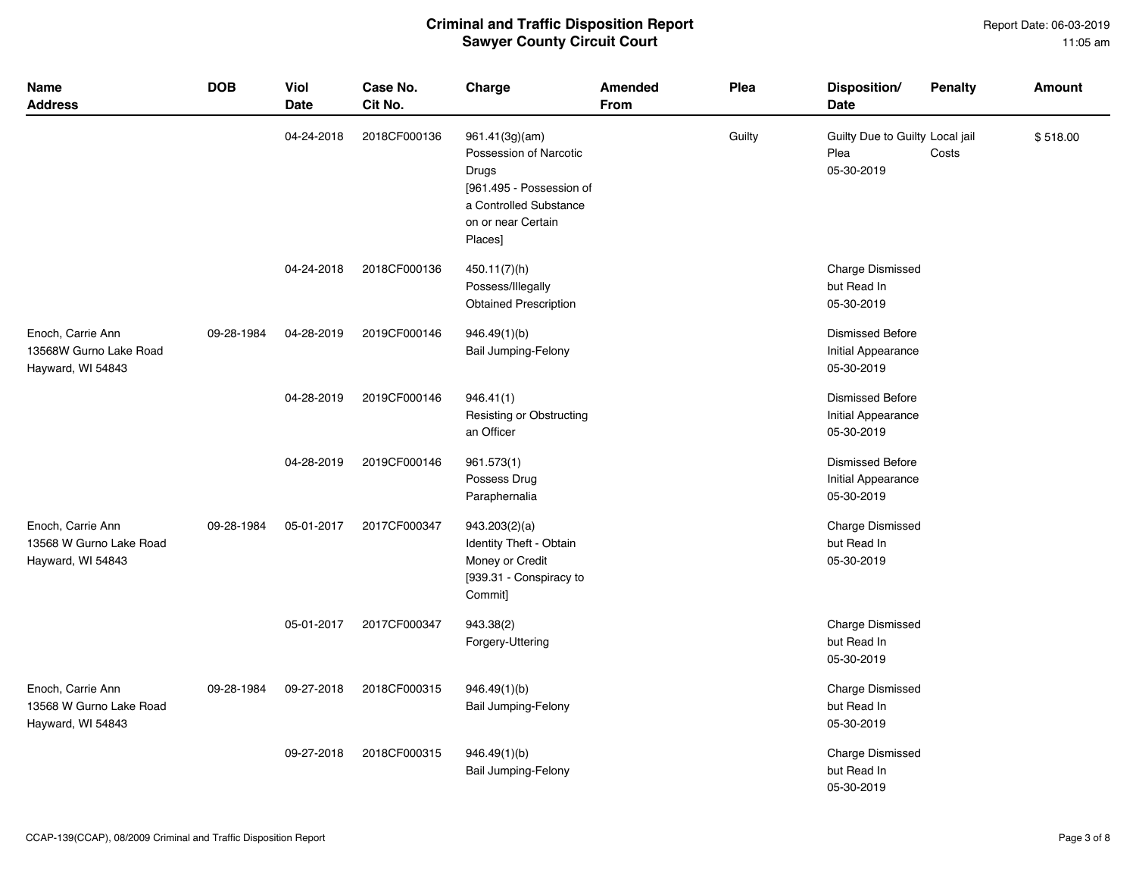| <b>Name</b><br><b>Address</b>                                     | <b>DOB</b> | Viol<br>Date | Case No.<br>Cit No. | Charge                                                                                                                                   | Amended<br><b>From</b> | Plea   | Disposition/<br><b>Date</b>                                 | <b>Penalty</b> | <b>Amount</b> |
|-------------------------------------------------------------------|------------|--------------|---------------------|------------------------------------------------------------------------------------------------------------------------------------------|------------------------|--------|-------------------------------------------------------------|----------------|---------------|
|                                                                   |            | 04-24-2018   | 2018CF000136        | 961.41(3g)(am)<br>Possession of Narcotic<br>Drugs<br>[961.495 - Possession of<br>a Controlled Substance<br>on or near Certain<br>Places] |                        | Guilty | Guilty Due to Guilty Local jail<br>Plea<br>05-30-2019       | Costs          | \$518.00      |
|                                                                   |            | 04-24-2018   | 2018CF000136        | 450.11(7)(h)<br>Possess/Illegally<br><b>Obtained Prescription</b>                                                                        |                        |        | <b>Charge Dismissed</b><br>but Read In<br>05-30-2019        |                |               |
| Enoch, Carrie Ann<br>13568W Gurno Lake Road<br>Hayward, WI 54843  | 09-28-1984 | 04-28-2019   | 2019CF000146        | 946.49(1)(b)<br>Bail Jumping-Felony                                                                                                      |                        |        | <b>Dismissed Before</b><br>Initial Appearance<br>05-30-2019 |                |               |
|                                                                   |            | 04-28-2019   | 2019CF000146        | 946.41(1)<br>Resisting or Obstructing<br>an Officer                                                                                      |                        |        | <b>Dismissed Before</b><br>Initial Appearance<br>05-30-2019 |                |               |
|                                                                   |            | 04-28-2019   | 2019CF000146        | 961.573(1)<br>Possess Drug<br>Paraphernalia                                                                                              |                        |        | <b>Dismissed Before</b><br>Initial Appearance<br>05-30-2019 |                |               |
| Enoch, Carrie Ann<br>13568 W Gurno Lake Road<br>Hayward, WI 54843 | 09-28-1984 | 05-01-2017   | 2017CF000347        | 943.203(2)(a)<br>Identity Theft - Obtain<br>Money or Credit<br>[939.31 - Conspiracy to<br>Commit]                                        |                        |        | <b>Charge Dismissed</b><br>but Read In<br>05-30-2019        |                |               |
|                                                                   |            | 05-01-2017   | 2017CF000347        | 943.38(2)<br>Forgery-Uttering                                                                                                            |                        |        | <b>Charge Dismissed</b><br>but Read In<br>05-30-2019        |                |               |
| Enoch, Carrie Ann<br>13568 W Gurno Lake Road<br>Hayward, WI 54843 | 09-28-1984 | 09-27-2018   | 2018CF000315        | 946.49(1)(b)<br>Bail Jumping-Felony                                                                                                      |                        |        | <b>Charge Dismissed</b><br>but Read In<br>05-30-2019        |                |               |
|                                                                   |            | 09-27-2018   | 2018CF000315        | 946.49(1)(b)<br>Bail Jumping-Felony                                                                                                      |                        |        | <b>Charge Dismissed</b><br>but Read In<br>05-30-2019        |                |               |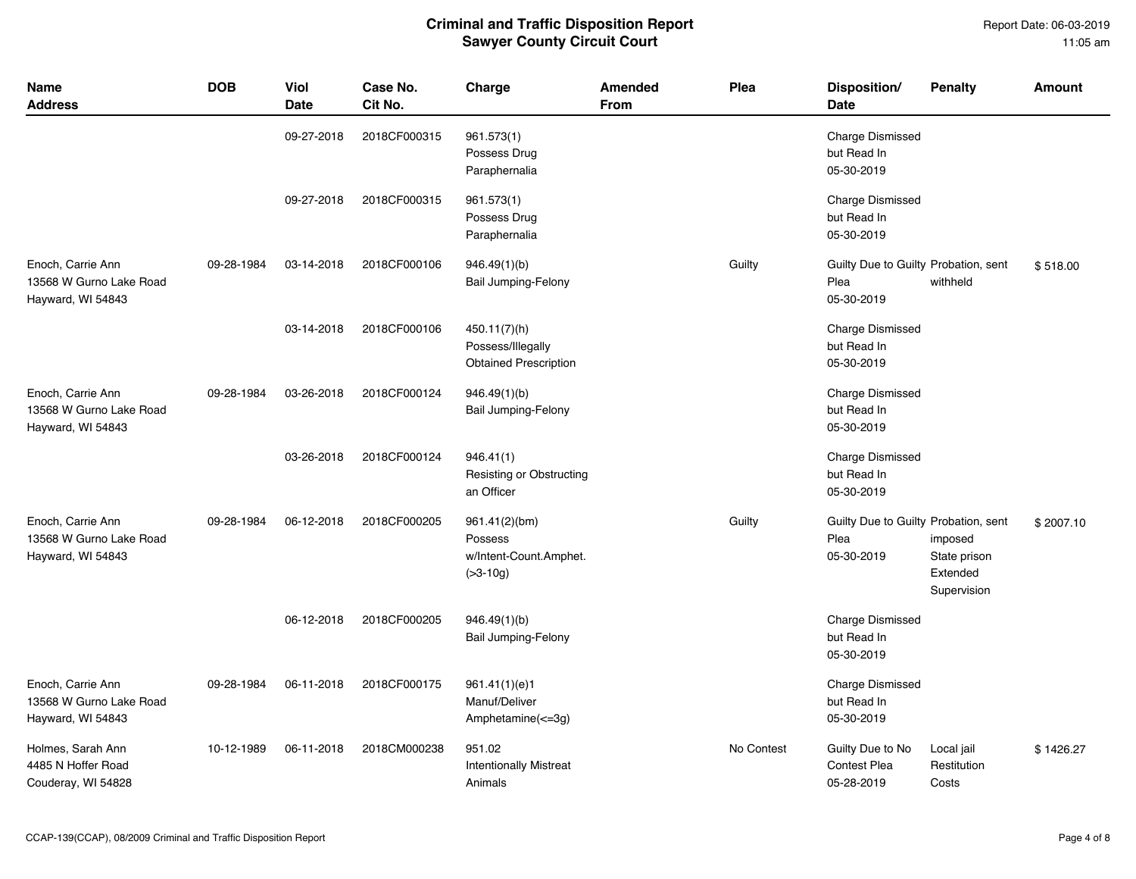| <b>Name</b><br><b>Address</b>                                     | <b>DOB</b> | Viol<br><b>Date</b> | Case No.<br>Cit No. | Charge                                                              | Amended<br><b>From</b> | Plea       | Disposition/<br>Date                                       | <b>Penalty</b>                                     | <b>Amount</b> |
|-------------------------------------------------------------------|------------|---------------------|---------------------|---------------------------------------------------------------------|------------------------|------------|------------------------------------------------------------|----------------------------------------------------|---------------|
|                                                                   |            | 09-27-2018          | 2018CF000315        | 961.573(1)<br>Possess Drug<br>Paraphernalia                         |                        |            | <b>Charge Dismissed</b><br>but Read In<br>05-30-2019       |                                                    |               |
|                                                                   |            | 09-27-2018          | 2018CF000315        | 961.573(1)<br>Possess Drug<br>Paraphernalia                         |                        |            | <b>Charge Dismissed</b><br>but Read In<br>05-30-2019       |                                                    |               |
| Enoch, Carrie Ann<br>13568 W Gurno Lake Road<br>Hayward, WI 54843 | 09-28-1984 | 03-14-2018          | 2018CF000106        | 946.49(1)(b)<br><b>Bail Jumping-Felony</b>                          |                        | Guilty     | Guilty Due to Guilty Probation, sent<br>Plea<br>05-30-2019 | withheld                                           | \$518.00      |
|                                                                   |            | 03-14-2018          | 2018CF000106        | 450.11(7)(h)<br>Possess/Illegally<br><b>Obtained Prescription</b>   |                        |            | <b>Charge Dismissed</b><br>but Read In<br>05-30-2019       |                                                    |               |
| Enoch, Carrie Ann<br>13568 W Gurno Lake Road<br>Hayward, WI 54843 | 09-28-1984 | 03-26-2018          | 2018CF000124        | 946.49(1)(b)<br><b>Bail Jumping-Felony</b>                          |                        |            | <b>Charge Dismissed</b><br>but Read In<br>05-30-2019       |                                                    |               |
|                                                                   |            | 03-26-2018          | 2018CF000124        | 946.41(1)<br><b>Resisting or Obstructing</b><br>an Officer          |                        |            | <b>Charge Dismissed</b><br>but Read In<br>05-30-2019       |                                                    |               |
| Enoch, Carrie Ann<br>13568 W Gurno Lake Road<br>Hayward, WI 54843 | 09-28-1984 | 06-12-2018          | 2018CF000205        | 961.41(2)(bm)<br>Possess<br>w/Intent-Count.Amphet.<br>$( >3 - 10g)$ |                        | Guilty     | Guilty Due to Guilty Probation, sent<br>Plea<br>05-30-2019 | imposed<br>State prison<br>Extended<br>Supervision | \$2007.10     |
|                                                                   |            | 06-12-2018          | 2018CF000205        | 946.49(1)(b)<br><b>Bail Jumping-Felony</b>                          |                        |            | <b>Charge Dismissed</b><br>but Read In<br>05-30-2019       |                                                    |               |
| Enoch, Carrie Ann<br>13568 W Gurno Lake Road<br>Hayward, WI 54843 | 09-28-1984 | 06-11-2018          | 2018CF000175        | 961.41(1)(e)1<br>Manuf/Deliver<br>Amphetamine(<=3g)                 |                        |            | <b>Charge Dismissed</b><br>but Read In<br>05-30-2019       |                                                    |               |
| Holmes, Sarah Ann<br>4485 N Hoffer Road<br>Couderay, WI 54828     | 10-12-1989 | 06-11-2018          | 2018CM000238        | 951.02<br><b>Intentionally Mistreat</b><br>Animals                  |                        | No Contest | Guilty Due to No<br><b>Contest Plea</b><br>05-28-2019      | Local jail<br>Restitution<br>Costs                 | \$1426.27     |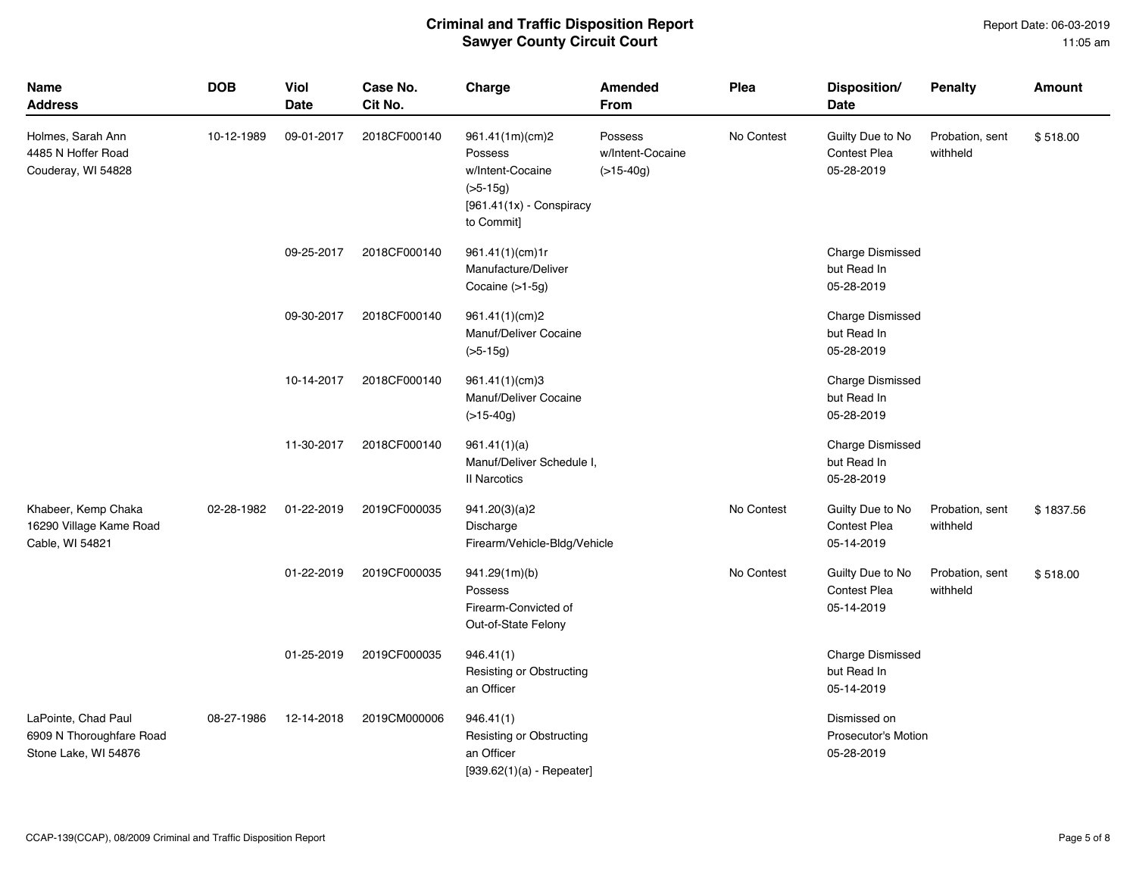| <b>Name</b><br><b>Address</b>                                           | <b>DOB</b> | Viol<br>Date | Case No.<br>Cit No. | Charge                                                                                                   | <b>Amended</b><br>From                     | Plea       | Disposition/<br><b>Date</b>                              | <b>Penalty</b>              | <b>Amount</b> |
|-------------------------------------------------------------------------|------------|--------------|---------------------|----------------------------------------------------------------------------------------------------------|--------------------------------------------|------------|----------------------------------------------------------|-----------------------------|---------------|
| Holmes, Sarah Ann<br>4485 N Hoffer Road<br>Couderay, WI 54828           | 10-12-1989 | 09-01-2017   | 2018CF000140        | 961.41(1m)(cm)2<br>Possess<br>w/Intent-Cocaine<br>$(>5-15g)$<br>$[961.41(1x) -$ Conspiracy<br>to Commit] | Possess<br>w/Intent-Cocaine<br>$(>15-40g)$ | No Contest | Guilty Due to No<br><b>Contest Plea</b><br>05-28-2019    | Probation, sent<br>withheld | \$518.00      |
|                                                                         |            | 09-25-2017   | 2018CF000140        | 961.41(1)(cm)1r<br>Manufacture/Deliver<br>Cocaine $(>1-5g)$                                              |                                            |            | <b>Charge Dismissed</b><br>but Read In<br>05-28-2019     |                             |               |
|                                                                         |            | 09-30-2017   | 2018CF000140        | 961.41(1)(cm)2<br>Manuf/Deliver Cocaine<br>$(>5-15g)$                                                    |                                            |            | <b>Charge Dismissed</b><br>but Read In<br>05-28-2019     |                             |               |
|                                                                         |            | 10-14-2017   | 2018CF000140        | 961.41(1)(cm)3<br>Manuf/Deliver Cocaine<br>$(>15-40g)$                                                   |                                            |            | <b>Charge Dismissed</b><br>but Read In<br>05-28-2019     |                             |               |
|                                                                         |            | 11-30-2017   | 2018CF000140        | 961.41(1)(a)<br>Manuf/Deliver Schedule I,<br><b>II Narcotics</b>                                         |                                            |            | Charge Dismissed<br>but Read In<br>05-28-2019            |                             |               |
| Khabeer, Kemp Chaka<br>16290 Village Kame Road<br>Cable, WI 54821       | 02-28-1982 | 01-22-2019   | 2019CF000035        | 941.20(3)(a)2<br>Discharge<br>Firearm/Vehicle-Bldg/Vehicle                                               |                                            | No Contest | Guilty Due to No<br><b>Contest Plea</b><br>05-14-2019    | Probation, sent<br>withheld | \$1837.56     |
|                                                                         |            | 01-22-2019   | 2019CF000035        | 941.29(1m)(b)<br>Possess<br>Firearm-Convicted of<br>Out-of-State Felony                                  |                                            | No Contest | Guilty Due to No<br>Contest Plea<br>05-14-2019           | Probation, sent<br>withheld | \$518.00      |
|                                                                         |            | 01-25-2019   | 2019CF000035        | 946.41(1)<br><b>Resisting or Obstructing</b><br>an Officer                                               |                                            |            | <b>Charge Dismissed</b><br>but Read In<br>05-14-2019     |                             |               |
| LaPointe, Chad Paul<br>6909 N Thoroughfare Road<br>Stone Lake, WI 54876 | 08-27-1986 | 12-14-2018   | 2019CM000006        | 946.41(1)<br><b>Resisting or Obstructing</b><br>an Officer<br>$[939.62(1)(a) - Repeated]$                |                                            |            | Dismissed on<br><b>Prosecutor's Motion</b><br>05-28-2019 |                             |               |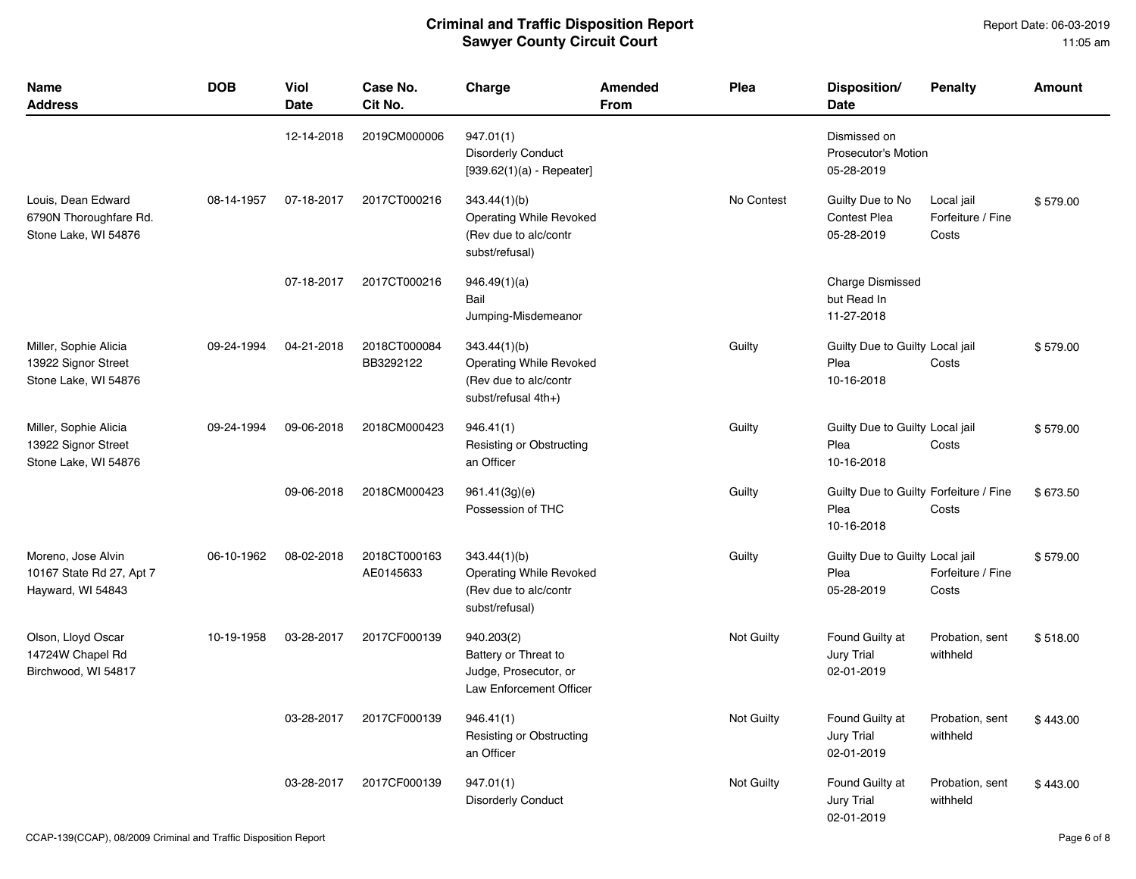| <b>Name</b><br><b>Address</b>                                        | <b>DOB</b> | <b>Viol</b><br><b>Date</b> | Case No.<br>Cit No.       | Charge                                                                                  | Amended<br>From | Plea       | Disposition/<br><b>Date</b>                                  | <b>Penalty</b>                           | <b>Amount</b> |
|----------------------------------------------------------------------|------------|----------------------------|---------------------------|-----------------------------------------------------------------------------------------|-----------------|------------|--------------------------------------------------------------|------------------------------------------|---------------|
|                                                                      |            | 12-14-2018                 | 2019CM000006              | 947.01(1)<br><b>Disorderly Conduct</b><br>$[939.62(1)(a) - Repeated]$                   |                 |            | Dismissed on<br><b>Prosecutor's Motion</b><br>05-28-2019     |                                          |               |
| Louis, Dean Edward<br>6790N Thoroughfare Rd.<br>Stone Lake, WI 54876 | 08-14-1957 | 07-18-2017                 | 2017CT000216              | 343.44(1)(b)<br>Operating While Revoked<br>(Rev due to alc/contr<br>subst/refusal)      |                 | No Contest | Guilty Due to No<br><b>Contest Plea</b><br>05-28-2019        | Local jail<br>Forfeiture / Fine<br>Costs | \$579.00      |
|                                                                      |            | 07-18-2017                 | 2017CT000216              | 946.49(1)(a)<br>Bail<br>Jumping-Misdemeanor                                             |                 |            | Charge Dismissed<br>but Read In<br>11-27-2018                |                                          |               |
| Miller, Sophie Alicia<br>13922 Signor Street<br>Stone Lake, WI 54876 | 09-24-1994 | 04-21-2018                 | 2018CT000084<br>BB3292122 | 343.44(1)(b)<br>Operating While Revoked<br>(Rev due to alc/contr<br>subst/refusal 4th+) |                 | Guilty     | Guilty Due to Guilty Local jail<br>Plea<br>10-16-2018        | Costs                                    | \$579.00      |
| Miller, Sophie Alicia<br>13922 Signor Street<br>Stone Lake, WI 54876 | 09-24-1994 | 09-06-2018                 | 2018CM000423              | 946.41(1)<br>Resisting or Obstructing<br>an Officer                                     |                 | Guilty     | Guilty Due to Guilty Local jail<br>Plea<br>10-16-2018        | Costs                                    | \$579.00      |
|                                                                      |            | 09-06-2018                 | 2018CM000423              | 961.41(3g)(e)<br>Possession of THC                                                      |                 | Guilty     | Guilty Due to Guilty Forfeiture / Fine<br>Plea<br>10-16-2018 | Costs                                    | \$673.50      |
| Moreno, Jose Alvin<br>10167 State Rd 27, Apt 7<br>Hayward, WI 54843  | 06-10-1962 | 08-02-2018                 | 2018CT000163<br>AE0145633 | 343.44(1)(b)<br>Operating While Revoked<br>(Rev due to alc/contr<br>subst/refusal)      |                 | Guilty     | Guilty Due to Guilty Local jail<br>Plea<br>05-28-2019        | Forfeiture / Fine<br>Costs               | \$579.00      |
| Olson, Lloyd Oscar<br>14724W Chapel Rd<br>Birchwood, WI 54817        | 10-19-1958 | 03-28-2017                 | 2017CF000139              | 940.203(2)<br>Battery or Threat to<br>Judge, Prosecutor, or<br>Law Enforcement Officer  |                 | Not Guilty | Found Guilty at<br>Jury Trial<br>02-01-2019                  | Probation, sent<br>withheld              | \$518.00      |
|                                                                      |            | 03-28-2017                 | 2017CF000139              | 946.41(1)<br>Resisting or Obstructing<br>an Officer                                     |                 | Not Guilty | Found Guilty at<br><b>Jury Trial</b><br>02-01-2019           | Probation, sent<br>withheld              | \$443.00      |
|                                                                      |            | 03-28-2017                 | 2017CF000139              | 947.01(1)<br><b>Disorderly Conduct</b>                                                  |                 | Not Guilty | Found Guilty at<br><b>Jury Trial</b><br>02-01-2019           | Probation, sent<br>withheld              | \$443.00      |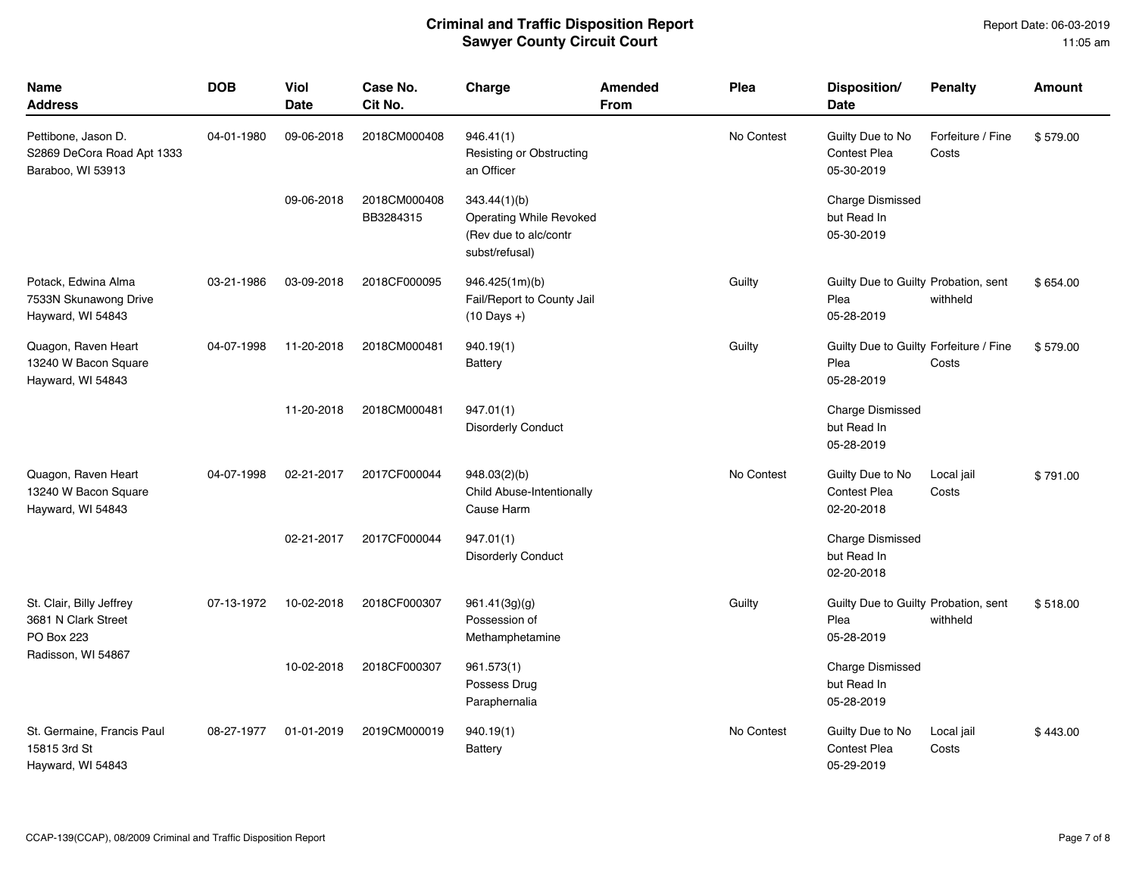| <b>Name</b><br><b>Address</b>                                          | <b>DOB</b> | <b>Viol</b><br><b>Date</b> | Case No.<br>Cit No.       | Charge                                                                             | <b>Amended</b><br><b>From</b> | Plea       | Disposition/<br><b>Date</b>                                  | <b>Penalty</b>             | <b>Amount</b> |
|------------------------------------------------------------------------|------------|----------------------------|---------------------------|------------------------------------------------------------------------------------|-------------------------------|------------|--------------------------------------------------------------|----------------------------|---------------|
| Pettibone, Jason D.<br>S2869 DeCora Road Apt 1333<br>Baraboo, WI 53913 | 04-01-1980 | 09-06-2018                 | 2018CM000408              | 946.41(1)<br>Resisting or Obstructing<br>an Officer                                |                               | No Contest | Guilty Due to No<br><b>Contest Plea</b><br>05-30-2019        | Forfeiture / Fine<br>Costs | \$579.00      |
|                                                                        |            | 09-06-2018                 | 2018CM000408<br>BB3284315 | 343.44(1)(b)<br>Operating While Revoked<br>(Rev due to alc/contr<br>subst/refusal) |                               |            | <b>Charge Dismissed</b><br>but Read In<br>05-30-2019         |                            |               |
| Potack, Edwina Alma<br>7533N Skunawong Drive<br>Hayward, WI 54843      | 03-21-1986 | 03-09-2018                 | 2018CF000095              | 946.425(1m)(b)<br>Fail/Report to County Jail<br>$(10 \text{ Days} + )$             |                               | Guilty     | Guilty Due to Guilty Probation, sent<br>Plea<br>05-28-2019   | withheld                   | \$654.00      |
| Quagon, Raven Heart<br>13240 W Bacon Square<br>Hayward, WI 54843       | 04-07-1998 | 11-20-2018                 | 2018CM000481              | 940.19(1)<br>Battery                                                               |                               | Guilty     | Guilty Due to Guilty Forfeiture / Fine<br>Plea<br>05-28-2019 | Costs                      | \$579.00      |
|                                                                        |            | 11-20-2018                 | 2018CM000481              | 947.01(1)<br><b>Disorderly Conduct</b>                                             |                               |            | <b>Charge Dismissed</b><br>but Read In<br>05-28-2019         |                            |               |
| Quagon, Raven Heart<br>13240 W Bacon Square<br>Hayward, WI 54843       | 04-07-1998 | 02-21-2017                 | 2017CF000044              | 948.03(2)(b)<br>Child Abuse-Intentionally<br>Cause Harm                            |                               | No Contest | Guilty Due to No<br><b>Contest Plea</b><br>02-20-2018        | Local jail<br>Costs        | \$791.00      |
|                                                                        |            | 02-21-2017                 | 2017CF000044              | 947.01(1)<br><b>Disorderly Conduct</b>                                             |                               |            | <b>Charge Dismissed</b><br>but Read In<br>02-20-2018         |                            |               |
| St. Clair, Billy Jeffrey<br>3681 N Clark Street<br>PO Box 223          | 07-13-1972 | 10-02-2018                 | 2018CF000307              | 961.41(3g)(q)<br>Possession of<br>Methamphetamine                                  |                               | Guilty     | Guilty Due to Guilty Probation, sent<br>Plea<br>05-28-2019   | withheld                   | \$518.00      |
| Radisson, WI 54867                                                     |            | 10-02-2018                 | 2018CF000307              | 961.573(1)<br>Possess Drug<br>Paraphernalia                                        |                               |            | <b>Charge Dismissed</b><br>but Read In<br>05-28-2019         |                            |               |
| St. Germaine, Francis Paul<br>15815 3rd St<br>Hayward, WI 54843        | 08-27-1977 | 01-01-2019                 | 2019CM000019              | 940.19(1)<br><b>Battery</b>                                                        |                               | No Contest | Guilty Due to No<br><b>Contest Plea</b><br>05-29-2019        | Local jail<br>Costs        | \$443.00      |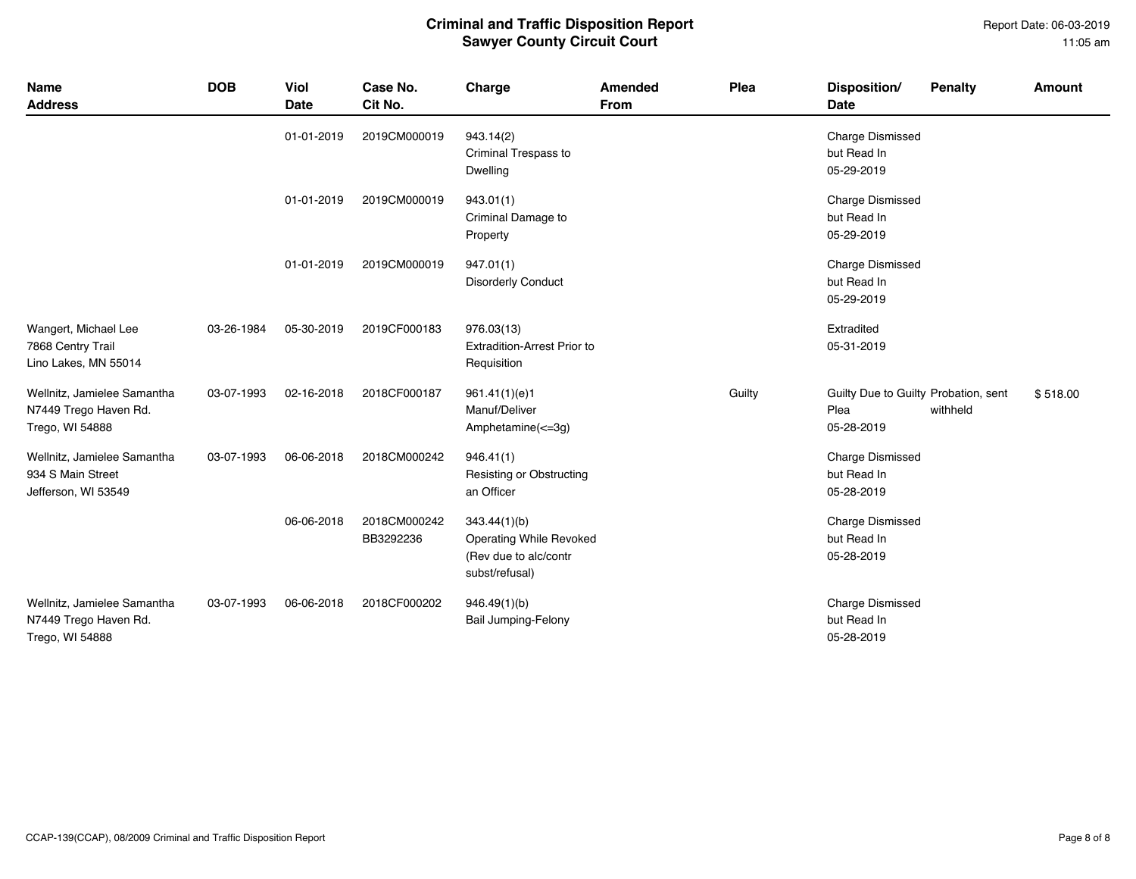#### Report Date: 06-03-2019 11:05 am

| Name<br><b>Address</b>                                                  | <b>DOB</b> | Viol<br><b>Date</b> | Case No.<br>Cit No.       | Charge                                                                             | Amended<br><b>From</b> | Plea   | Disposition/<br><b>Date</b>                                | <b>Penalty</b> | Amount   |
|-------------------------------------------------------------------------|------------|---------------------|---------------------------|------------------------------------------------------------------------------------|------------------------|--------|------------------------------------------------------------|----------------|----------|
|                                                                         |            | 01-01-2019          | 2019CM000019              | 943.14(2)<br>Criminal Trespass to<br>Dwelling                                      |                        |        | <b>Charge Dismissed</b><br>but Read In<br>05-29-2019       |                |          |
|                                                                         |            | 01-01-2019          | 2019CM000019              | 943.01(1)<br>Criminal Damage to<br>Property                                        |                        |        | <b>Charge Dismissed</b><br>but Read In<br>05-29-2019       |                |          |
|                                                                         |            | 01-01-2019          | 2019CM000019              | 947.01(1)<br><b>Disorderly Conduct</b>                                             |                        |        | <b>Charge Dismissed</b><br>but Read In<br>05-29-2019       |                |          |
| Wangert, Michael Lee<br>7868 Centry Trail<br>Lino Lakes, MN 55014       | 03-26-1984 | 05-30-2019          | 2019CF000183              | 976.03(13)<br><b>Extradition-Arrest Prior to</b><br>Requisition                    |                        |        | Extradited<br>05-31-2019                                   |                |          |
| Wellnitz, Jamielee Samantha<br>N7449 Trego Haven Rd.<br>Trego, WI 54888 | 03-07-1993 | 02-16-2018          | 2018CF000187              | 961.41(1)(e)1<br>Manuf/Deliver<br>Amphetamine $(\leq=3q)$                          |                        | Guilty | Guilty Due to Guilty Probation, sent<br>Plea<br>05-28-2019 | withheld       | \$518.00 |
| Wellnitz, Jamielee Samantha<br>934 S Main Street<br>Jefferson, WI 53549 | 03-07-1993 | 06-06-2018          | 2018CM000242              | 946.41(1)<br>Resisting or Obstructing<br>an Officer                                |                        |        | <b>Charge Dismissed</b><br>but Read In<br>05-28-2019       |                |          |
|                                                                         |            | 06-06-2018          | 2018CM000242<br>BB3292236 | 343.44(1)(b)<br>Operating While Revoked<br>(Rev due to alc/contr<br>subst/refusal) |                        |        | <b>Charge Dismissed</b><br>but Read In<br>05-28-2019       |                |          |
| Wellnitz, Jamielee Samantha<br>N7449 Trego Haven Rd.<br>Trego, WI 54888 | 03-07-1993 | 06-06-2018          | 2018CF000202              | 946.49(1)(b)<br><b>Bail Jumping-Felony</b>                                         |                        |        | <b>Charge Dismissed</b><br>but Read In<br>05-28-2019       |                |          |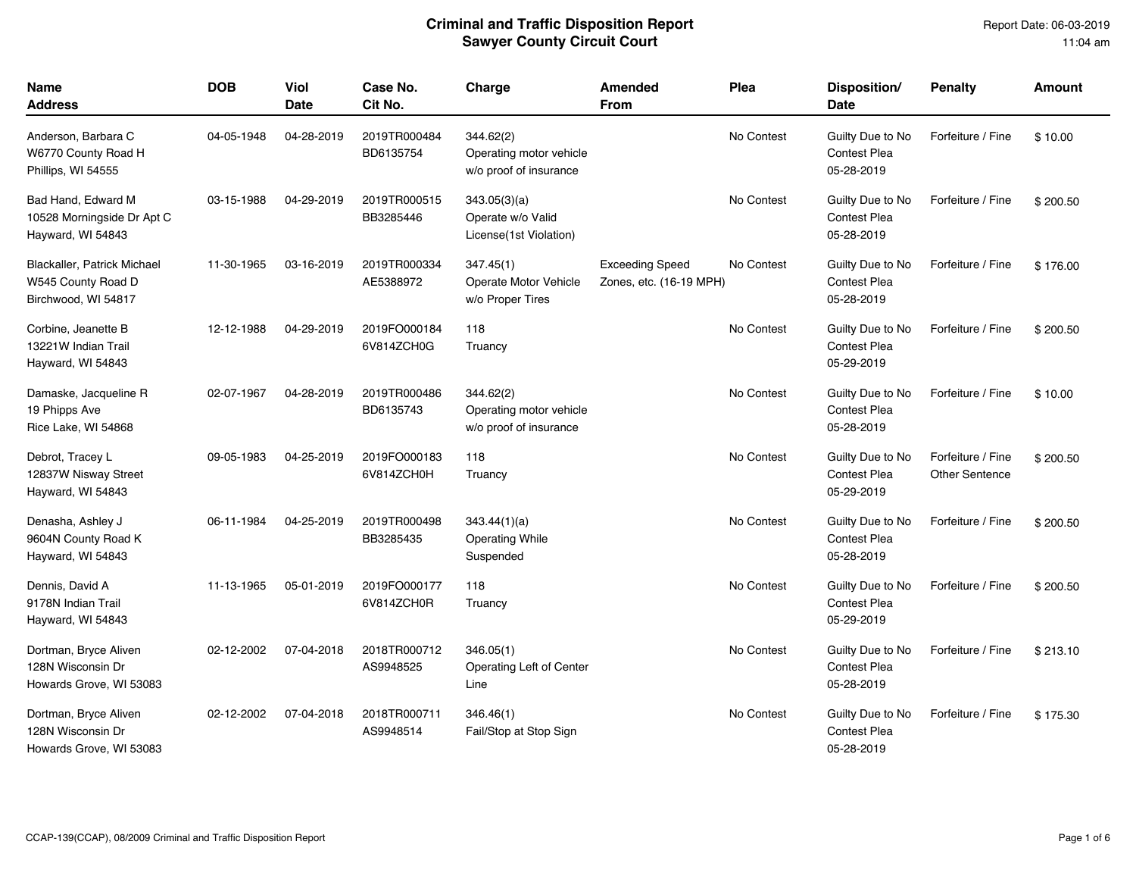| <b>Name</b><br><b>Address</b>                                            | <b>DOB</b> | <b>Viol</b><br>Date | Case No.<br>Cit No.        | Charge                                                         | <b>Amended</b><br><b>From</b>                     | Plea       | Disposition/<br><b>Date</b>                           | <b>Penalty</b>                             | Amount   |
|--------------------------------------------------------------------------|------------|---------------------|----------------------------|----------------------------------------------------------------|---------------------------------------------------|------------|-------------------------------------------------------|--------------------------------------------|----------|
| Anderson, Barbara C<br>W6770 County Road H<br>Phillips, WI 54555         | 04-05-1948 | 04-28-2019          | 2019TR000484<br>BD6135754  | 344.62(2)<br>Operating motor vehicle<br>w/o proof of insurance |                                                   | No Contest | Guilty Due to No<br><b>Contest Plea</b><br>05-28-2019 | Forfeiture / Fine                          | \$10.00  |
| Bad Hand, Edward M<br>10528 Morningside Dr Apt C<br>Hayward, WI 54843    | 03-15-1988 | 04-29-2019          | 2019TR000515<br>BB3285446  | 343.05(3)(a)<br>Operate w/o Valid<br>License(1st Violation)    |                                                   | No Contest | Guilty Due to No<br><b>Contest Plea</b><br>05-28-2019 | Forfeiture / Fine                          | \$200.50 |
| Blackaller, Patrick Michael<br>W545 County Road D<br>Birchwood, WI 54817 | 11-30-1965 | 03-16-2019          | 2019TR000334<br>AE5388972  | 347.45(1)<br>Operate Motor Vehicle<br>w/o Proper Tires         | <b>Exceeding Speed</b><br>Zones, etc. (16-19 MPH) | No Contest | Guilty Due to No<br><b>Contest Plea</b><br>05-28-2019 | Forfeiture / Fine                          | \$176.00 |
| Corbine, Jeanette B<br>13221W Indian Trail<br>Hayward, WI 54843          | 12-12-1988 | 04-29-2019          | 2019FO000184<br>6V814ZCH0G | 118<br>Truancy                                                 |                                                   | No Contest | Guilty Due to No<br><b>Contest Plea</b><br>05-29-2019 | Forfeiture / Fine                          | \$200.50 |
| Damaske, Jacqueline R<br>19 Phipps Ave<br>Rice Lake, WI 54868            | 02-07-1967 | 04-28-2019          | 2019TR000486<br>BD6135743  | 344.62(2)<br>Operating motor vehicle<br>w/o proof of insurance |                                                   | No Contest | Guilty Due to No<br>Contest Plea<br>05-28-2019        | Forfeiture / Fine                          | \$10.00  |
| Debrot, Tracey L<br>12837W Nisway Street<br>Hayward, WI 54843            | 09-05-1983 | 04-25-2019          | 2019FO000183<br>6V814ZCH0H | 118<br>Truancy                                                 |                                                   | No Contest | Guilty Due to No<br><b>Contest Plea</b><br>05-29-2019 | Forfeiture / Fine<br><b>Other Sentence</b> | \$200.50 |
| Denasha, Ashley J<br>9604N County Road K<br>Hayward, WI 54843            | 06-11-1984 | 04-25-2019          | 2019TR000498<br>BB3285435  | 343.44(1)(a)<br><b>Operating While</b><br>Suspended            |                                                   | No Contest | Guilty Due to No<br><b>Contest Plea</b><br>05-28-2019 | Forfeiture / Fine                          | \$200.50 |
| Dennis, David A<br>9178N Indian Trail<br>Hayward, WI 54843               | 11-13-1965 | 05-01-2019          | 2019FO000177<br>6V814ZCH0R | 118<br>Truancy                                                 |                                                   | No Contest | Guilty Due to No<br><b>Contest Plea</b><br>05-29-2019 | Forfeiture / Fine                          | \$200.50 |
| Dortman, Bryce Aliven<br>128N Wisconsin Dr<br>Howards Grove, WI 53083    | 02-12-2002 | 07-04-2018          | 2018TR000712<br>AS9948525  | 346.05(1)<br>Operating Left of Center<br>Line                  |                                                   | No Contest | Guilty Due to No<br><b>Contest Plea</b><br>05-28-2019 | Forfeiture / Fine                          | \$213.10 |
| Dortman, Bryce Aliven<br>128N Wisconsin Dr<br>Howards Grove, WI 53083    | 02-12-2002 | 07-04-2018          | 2018TR000711<br>AS9948514  | 346.46(1)<br>Fail/Stop at Stop Sign                            |                                                   | No Contest | Guilty Due to No<br><b>Contest Plea</b><br>05-28-2019 | Forfeiture / Fine                          | \$175.30 |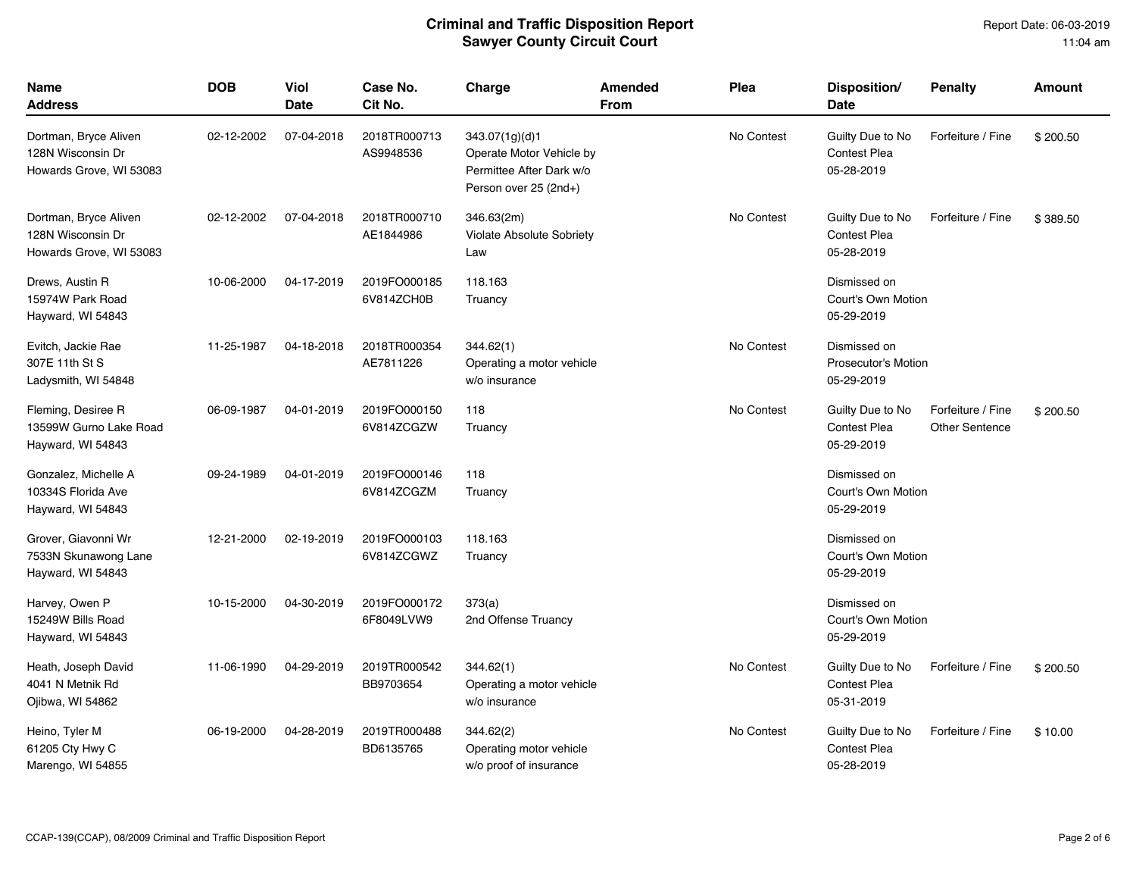| Name<br><b>Address</b>                                                | <b>DOB</b> | Viol<br>Date | Case No.<br>Cit No.        | Charge                                                                                          | Amended<br><b>From</b> | Plea       | Disposition/<br><b>Date</b>                              | <b>Penalty</b>                             | <b>Amount</b> |
|-----------------------------------------------------------------------|------------|--------------|----------------------------|-------------------------------------------------------------------------------------------------|------------------------|------------|----------------------------------------------------------|--------------------------------------------|---------------|
| Dortman, Bryce Aliven<br>128N Wisconsin Dr<br>Howards Grove, WI 53083 | 02-12-2002 | 07-04-2018   | 2018TR000713<br>AS9948536  | 343.07(1g)(d)1<br>Operate Motor Vehicle by<br>Permittee After Dark w/o<br>Person over 25 (2nd+) |                        | No Contest | Guilty Due to No<br>Contest Plea<br>05-28-2019           | Forfeiture / Fine                          | \$200.50      |
| Dortman, Bryce Aliven<br>128N Wisconsin Dr<br>Howards Grove, WI 53083 | 02-12-2002 | 07-04-2018   | 2018TR000710<br>AE1844986  | 346.63(2m)<br><b>Violate Absolute Sobriety</b><br>Law                                           |                        | No Contest | Guilty Due to No<br><b>Contest Plea</b><br>05-28-2019    | Forfeiture / Fine                          | \$389.50      |
| Drews, Austin R<br>15974W Park Road<br>Hayward, WI 54843              | 10-06-2000 | 04-17-2019   | 2019FO000185<br>6V814ZCH0B | 118.163<br>Truancy                                                                              |                        |            | Dismissed on<br>Court's Own Motion<br>05-29-2019         |                                            |               |
| Evitch, Jackie Rae<br>307E 11th St S<br>Ladysmith, WI 54848           | 11-25-1987 | 04-18-2018   | 2018TR000354<br>AE7811226  | 344.62(1)<br>Operating a motor vehicle<br>w/o insurance                                         |                        | No Contest | Dismissed on<br><b>Prosecutor's Motion</b><br>05-29-2019 |                                            |               |
| Fleming, Desiree R<br>13599W Gurno Lake Road<br>Hayward, WI 54843     | 06-09-1987 | 04-01-2019   | 2019FO000150<br>6V814ZCGZW | 118<br>Truancy                                                                                  |                        | No Contest | Guilty Due to No<br>Contest Plea<br>05-29-2019           | Forfeiture / Fine<br><b>Other Sentence</b> | \$200.50      |
| Gonzalez, Michelle A<br>10334S Florida Ave<br>Hayward, WI 54843       | 09-24-1989 | 04-01-2019   | 2019FO000146<br>6V814ZCGZM | 118<br>Truancy                                                                                  |                        |            | Dismissed on<br>Court's Own Motion<br>05-29-2019         |                                            |               |
| Grover, Giavonni Wr<br>7533N Skunawong Lane<br>Hayward, WI 54843      | 12-21-2000 | 02-19-2019   | 2019FO000103<br>6V814ZCGWZ | 118.163<br>Truancy                                                                              |                        |            | Dismissed on<br>Court's Own Motion<br>05-29-2019         |                                            |               |
| Harvey, Owen P<br>15249W Bills Road<br>Hayward, WI 54843              | 10-15-2000 | 04-30-2019   | 2019FO000172<br>6F8049LVW9 | 373(a)<br>2nd Offense Truancy                                                                   |                        |            | Dismissed on<br>Court's Own Motion<br>05-29-2019         |                                            |               |
| Heath, Joseph David<br>4041 N Metnik Rd<br>Ojibwa, WI 54862           | 11-06-1990 | 04-29-2019   | 2019TR000542<br>BB9703654  | 344.62(1)<br>Operating a motor vehicle<br>w/o insurance                                         |                        | No Contest | Guilty Due to No<br><b>Contest Plea</b><br>05-31-2019    | Forfeiture / Fine                          | \$200.50      |
| Heino, Tyler M<br>61205 Cty Hwy C<br>Marengo, WI 54855                | 06-19-2000 | 04-28-2019   | 2019TR000488<br>BD6135765  | 344.62(2)<br>Operating motor vehicle<br>w/o proof of insurance                                  |                        | No Contest | Guilty Due to No<br><b>Contest Plea</b><br>05-28-2019    | Forfeiture / Fine                          | \$10.00       |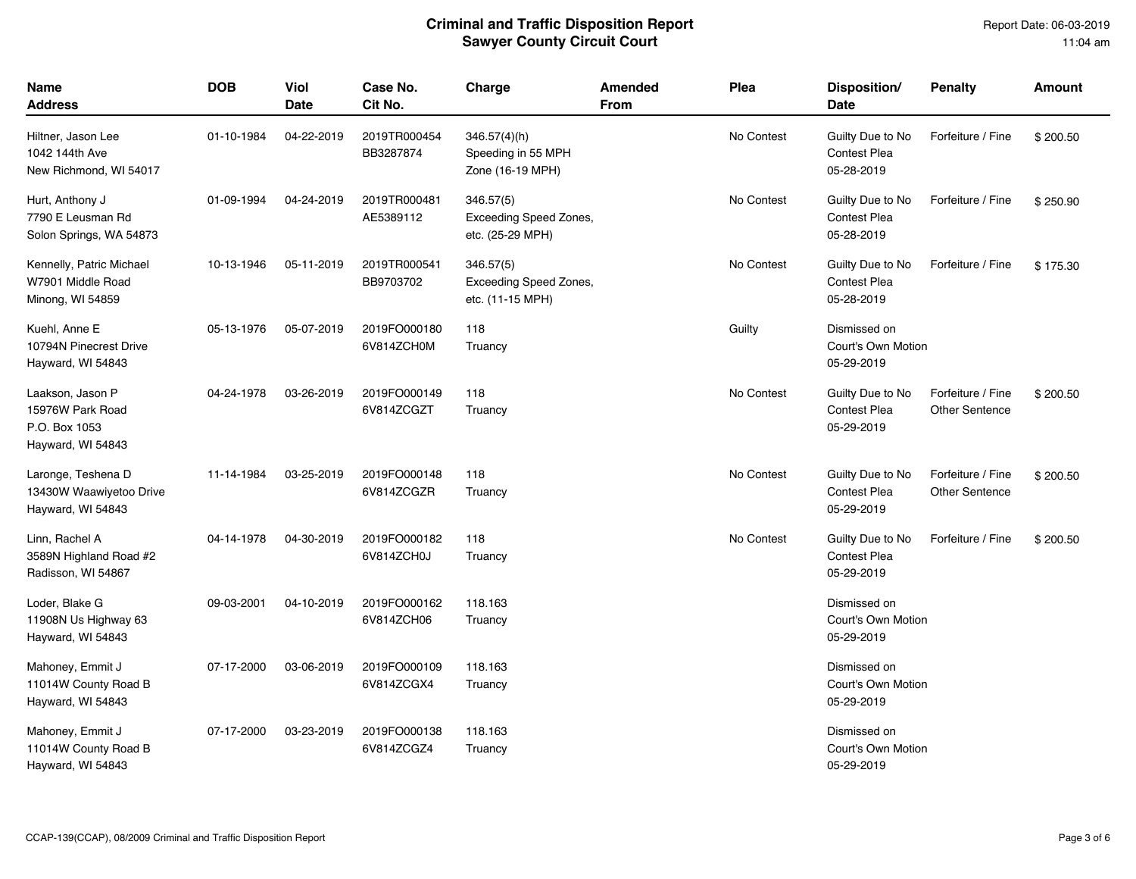| Name<br>Address                                                            | <b>DOB</b> | <b>Viol</b><br>Date | Case No.<br>Cit No.        | Charge                                                         | <b>Amended</b><br><b>From</b> | Plea       | Disposition/<br>Date                                  | <b>Penalty</b>                             | <b>Amount</b> |
|----------------------------------------------------------------------------|------------|---------------------|----------------------------|----------------------------------------------------------------|-------------------------------|------------|-------------------------------------------------------|--------------------------------------------|---------------|
| Hiltner, Jason Lee<br>1042 144th Ave<br>New Richmond, WI 54017             | 01-10-1984 | 04-22-2019          | 2019TR000454<br>BB3287874  | 346.57(4)(h)<br>Speeding in 55 MPH<br>Zone (16-19 MPH)         |                               | No Contest | Guilty Due to No<br><b>Contest Plea</b><br>05-28-2019 | Forfeiture / Fine                          | \$200.50      |
| Hurt, Anthony J<br>7790 E Leusman Rd<br>Solon Springs, WA 54873            | 01-09-1994 | 04-24-2019          | 2019TR000481<br>AE5389112  | 346.57(5)<br><b>Exceeding Speed Zones,</b><br>etc. (25-29 MPH) |                               | No Contest | Guilty Due to No<br><b>Contest Plea</b><br>05-28-2019 | Forfeiture / Fine                          | \$250.90      |
| Kennelly, Patric Michael<br>W7901 Middle Road<br>Minong, WI 54859          | 10-13-1946 | 05-11-2019          | 2019TR000541<br>BB9703702  | 346.57(5)<br>Exceeding Speed Zones,<br>etc. (11-15 MPH)        |                               | No Contest | Guilty Due to No<br><b>Contest Plea</b><br>05-28-2019 | Forfeiture / Fine                          | \$175.30      |
| Kuehl, Anne E<br>10794N Pinecrest Drive<br>Hayward, WI 54843               | 05-13-1976 | 05-07-2019          | 2019FO000180<br>6V814ZCH0M | 118<br>Truancy                                                 |                               | Guilty     | Dismissed on<br>Court's Own Motion<br>05-29-2019      |                                            |               |
| Laakson, Jason P<br>15976W Park Road<br>P.O. Box 1053<br>Hayward, WI 54843 | 04-24-1978 | 03-26-2019          | 2019FO000149<br>6V814ZCGZT | 118<br>Truancy                                                 |                               | No Contest | Guilty Due to No<br>Contest Plea<br>05-29-2019        | Forfeiture / Fine<br><b>Other Sentence</b> | \$200.50      |
| Laronge, Teshena D<br>13430W Waawiyetoo Drive<br>Hayward, WI 54843         | 11-14-1984 | 03-25-2019          | 2019FO000148<br>6V814ZCGZR | 118<br>Truancy                                                 |                               | No Contest | Guilty Due to No<br>Contest Plea<br>05-29-2019        | Forfeiture / Fine<br><b>Other Sentence</b> | \$200.50      |
| Linn, Rachel A<br>3589N Highland Road #2<br>Radisson, WI 54867             | 04-14-1978 | 04-30-2019          | 2019FO000182<br>6V814ZCH0J | 118<br>Truancy                                                 |                               | No Contest | Guilty Due to No<br><b>Contest Plea</b><br>05-29-2019 | Forfeiture / Fine                          | \$200.50      |
| Loder, Blake G<br>11908N Us Highway 63<br>Hayward, WI 54843                | 09-03-2001 | 04-10-2019          | 2019FO000162<br>6V814ZCH06 | 118.163<br>Truancy                                             |                               |            | Dismissed on<br>Court's Own Motion<br>05-29-2019      |                                            |               |
| Mahoney, Emmit J<br>11014W County Road B<br>Hayward, WI 54843              | 07-17-2000 | 03-06-2019          | 2019FO000109<br>6V814ZCGX4 | 118.163<br>Truancy                                             |                               |            | Dismissed on<br>Court's Own Motion<br>05-29-2019      |                                            |               |
| Mahoney, Emmit J<br>11014W County Road B<br>Hayward, WI 54843              | 07-17-2000 | 03-23-2019          | 2019FO000138<br>6V814ZCGZ4 | 118.163<br>Truancy                                             |                               |            | Dismissed on<br>Court's Own Motion<br>05-29-2019      |                                            |               |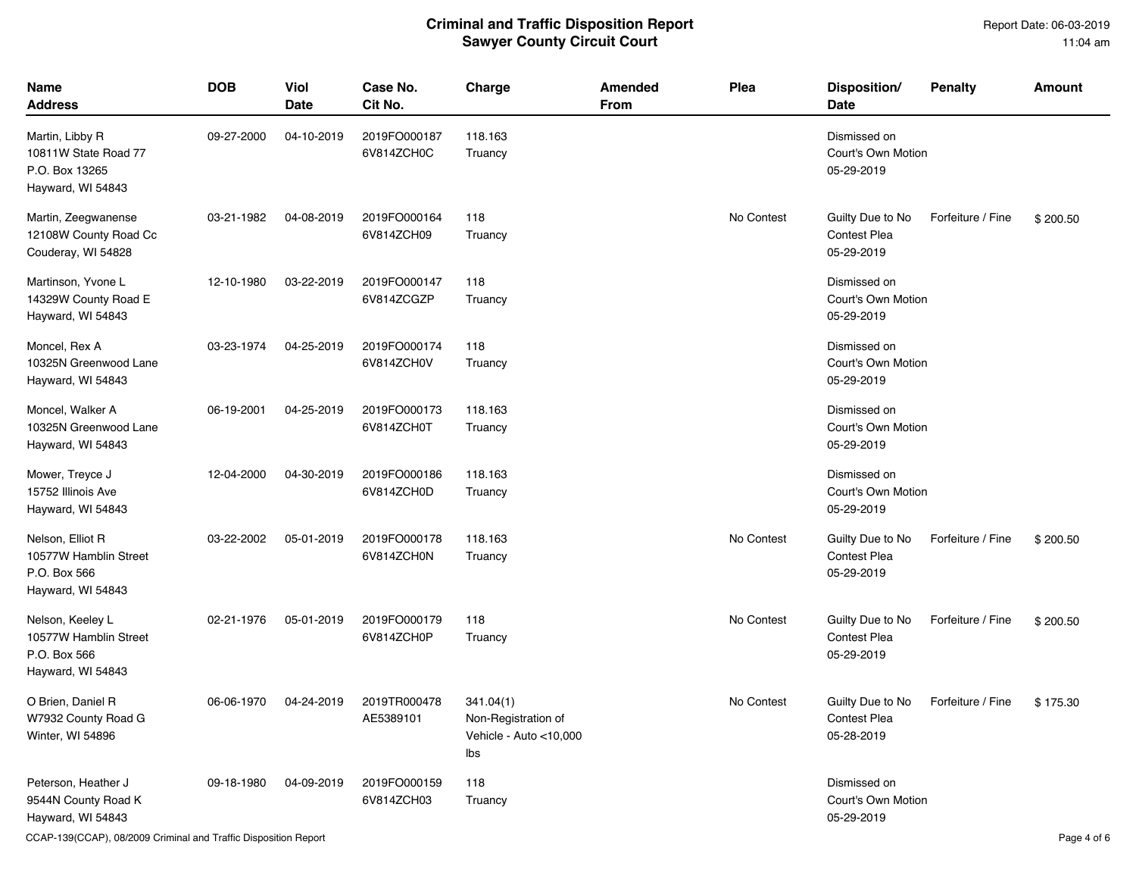Report Date: 06-03-2019 11:04 am

| <b>Name</b><br><b>Address</b>                                                  | <b>DOB</b> | <b>Viol</b><br><b>Date</b> | Case No.<br>Cit No.        | Charge                                                            | <b>Amended</b><br><b>From</b> | Plea       | Disposition/<br>Date                                  | <b>Penalty</b>    | <b>Amount</b> |
|--------------------------------------------------------------------------------|------------|----------------------------|----------------------------|-------------------------------------------------------------------|-------------------------------|------------|-------------------------------------------------------|-------------------|---------------|
| Martin, Libby R<br>10811W State Road 77<br>P.O. Box 13265<br>Hayward, WI 54843 | 09-27-2000 | 04-10-2019                 | 2019FO000187<br>6V814ZCH0C | 118.163<br>Truancy                                                |                               |            | Dismissed on<br>Court's Own Motion<br>05-29-2019      |                   |               |
| Martin, Zeegwanense<br>12108W County Road Cc<br>Couderay, WI 54828             | 03-21-1982 | 04-08-2019                 | 2019FO000164<br>6V814ZCH09 | 118<br>Truancy                                                    |                               | No Contest | Guilty Due to No<br><b>Contest Plea</b><br>05-29-2019 | Forfeiture / Fine | \$200.50      |
| Martinson, Yvone L<br>14329W County Road E<br>Hayward, WI 54843                | 12-10-1980 | 03-22-2019                 | 2019FO000147<br>6V814ZCGZP | 118<br>Truancy                                                    |                               |            | Dismissed on<br>Court's Own Motion<br>05-29-2019      |                   |               |
| Moncel, Rex A<br>10325N Greenwood Lane<br>Hayward, WI 54843                    | 03-23-1974 | 04-25-2019                 | 2019FO000174<br>6V814ZCH0V | 118<br>Truancy                                                    |                               |            | Dismissed on<br>Court's Own Motion<br>05-29-2019      |                   |               |
| Moncel, Walker A<br>10325N Greenwood Lane<br>Hayward, WI 54843                 | 06-19-2001 | 04-25-2019                 | 2019FO000173<br>6V814ZCH0T | 118.163<br>Truancy                                                |                               |            | Dismissed on<br>Court's Own Motion<br>05-29-2019      |                   |               |
| Mower, Treyce J<br>15752 Illinois Ave<br>Hayward, WI 54843                     | 12-04-2000 | 04-30-2019                 | 2019FO000186<br>6V814ZCH0D | 118.163<br>Truancy                                                |                               |            | Dismissed on<br>Court's Own Motion<br>05-29-2019      |                   |               |
| Nelson, Elliot R<br>10577W Hamblin Street<br>P.O. Box 566<br>Hayward, WI 54843 | 03-22-2002 | 05-01-2019                 | 2019FO000178<br>6V814ZCH0N | 118.163<br>Truancy                                                |                               | No Contest | Guilty Due to No<br><b>Contest Plea</b><br>05-29-2019 | Forfeiture / Fine | \$200.50      |
| Nelson, Keeley L<br>10577W Hamblin Street<br>P.O. Box 566<br>Hayward, WI 54843 | 02-21-1976 | 05-01-2019                 | 2019FO000179<br>6V814ZCH0P | 118<br>Truancy                                                    |                               | No Contest | Guilty Due to No<br><b>Contest Plea</b><br>05-29-2019 | Forfeiture / Fine | \$200.50      |
| O Brien, Daniel R<br>W7932 County Road G<br>Winter, WI 54896                   | 06-06-1970 | 04-24-2019                 | 2019TR000478<br>AE5389101  | 341.04(1)<br>Non-Registration of<br>Vehicle - Auto <10,000<br>Ibs |                               | No Contest | Guilty Due to No<br><b>Contest Plea</b><br>05-28-2019 | Forfeiture / Fine | \$175.30      |
| Peterson, Heather J<br>9544N County Road K<br>Hayward, WI 54843                | 09-18-1980 | 04-09-2019                 | 2019FO000159<br>6V814ZCH03 | 118<br>Truancy                                                    |                               |            | Dismissed on<br>Court's Own Motion<br>05-29-2019      |                   |               |

CCAP-139(CCAP), 08/2009 Criminal and Traffic Disposition Report Page 4 of 6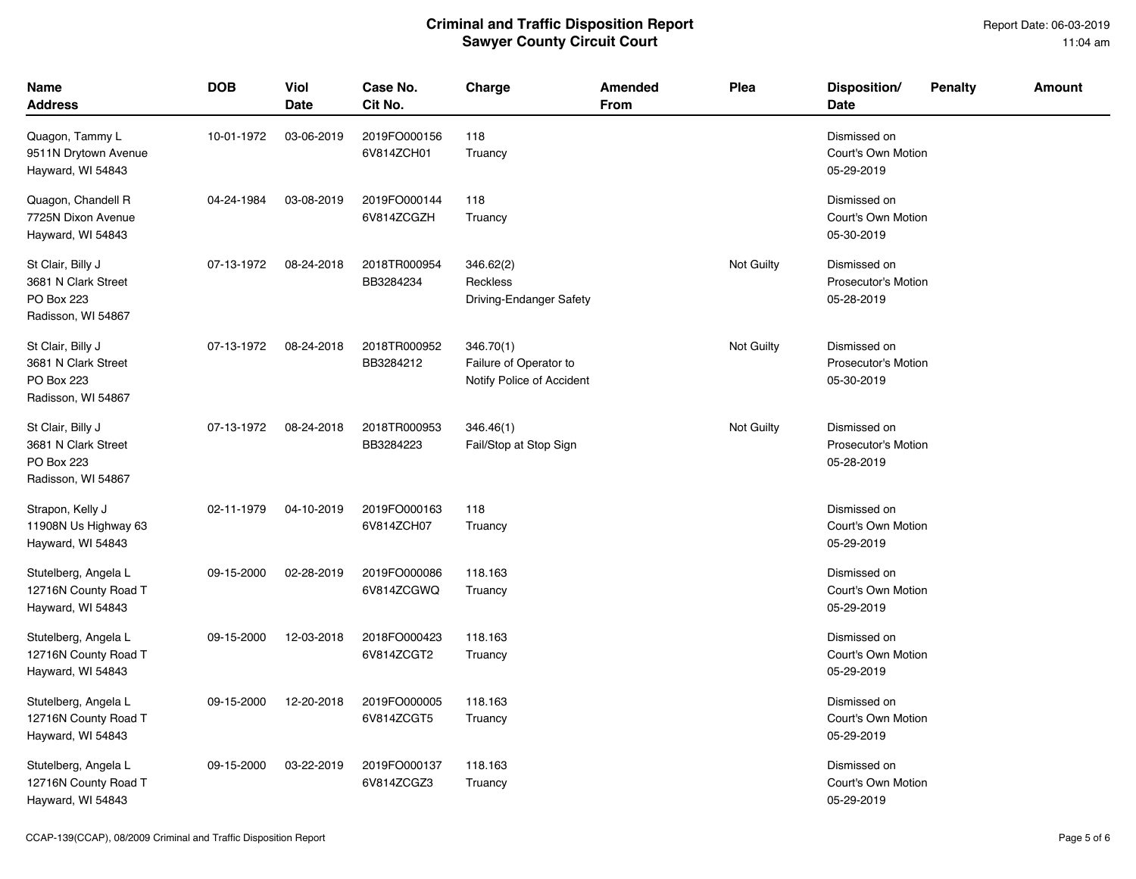| <b>Name</b><br>Address                                                       | <b>DOB</b> | Viol<br>Date | Case No.<br>Cit No.        | Charge                                                           | Amended<br>From | Plea       | Disposition/<br>Date                                     | <b>Penalty</b> | Amount |
|------------------------------------------------------------------------------|------------|--------------|----------------------------|------------------------------------------------------------------|-----------------|------------|----------------------------------------------------------|----------------|--------|
| Quagon, Tammy L<br>9511N Drytown Avenue<br>Hayward, WI 54843                 | 10-01-1972 | 03-06-2019   | 2019FO000156<br>6V814ZCH01 | 118<br>Truancy                                                   |                 |            | Dismissed on<br>Court's Own Motion<br>05-29-2019         |                |        |
| Quagon, Chandell R<br>7725N Dixon Avenue<br>Hayward, WI 54843                | 04-24-1984 | 03-08-2019   | 2019FO000144<br>6V814ZCGZH | 118<br>Truancy                                                   |                 |            | Dismissed on<br>Court's Own Motion<br>05-30-2019         |                |        |
| St Clair, Billy J<br>3681 N Clark Street<br>PO Box 223<br>Radisson, WI 54867 | 07-13-1972 | 08-24-2018   | 2018TR000954<br>BB3284234  | 346.62(2)<br>Reckless<br>Driving-Endanger Safety                 |                 | Not Guilty | Dismissed on<br><b>Prosecutor's Motion</b><br>05-28-2019 |                |        |
| St Clair, Billy J<br>3681 N Clark Street<br>PO Box 223<br>Radisson, WI 54867 | 07-13-1972 | 08-24-2018   | 2018TR000952<br>BB3284212  | 346.70(1)<br>Failure of Operator to<br>Notify Police of Accident |                 | Not Guilty | Dismissed on<br><b>Prosecutor's Motion</b><br>05-30-2019 |                |        |
| St Clair, Billy J<br>3681 N Clark Street<br>PO Box 223<br>Radisson, WI 54867 | 07-13-1972 | 08-24-2018   | 2018TR000953<br>BB3284223  | 346.46(1)<br>Fail/Stop at Stop Sign                              |                 | Not Guilty | Dismissed on<br><b>Prosecutor's Motion</b><br>05-28-2019 |                |        |
| Strapon, Kelly J<br>11908N Us Highway 63<br>Hayward, WI 54843                | 02-11-1979 | 04-10-2019   | 2019FO000163<br>6V814ZCH07 | 118<br>Truancy                                                   |                 |            | Dismissed on<br>Court's Own Motion<br>05-29-2019         |                |        |
| Stutelberg, Angela L<br>12716N County Road T<br>Hayward, WI 54843            | 09-15-2000 | 02-28-2019   | 2019FO000086<br>6V814ZCGWQ | 118.163<br>Truancy                                               |                 |            | Dismissed on<br>Court's Own Motion<br>05-29-2019         |                |        |
| Stutelberg, Angela L<br>12716N County Road T<br>Hayward, WI 54843            | 09-15-2000 | 12-03-2018   | 2018FO000423<br>6V814ZCGT2 | 118.163<br>Truancy                                               |                 |            | Dismissed on<br>Court's Own Motion<br>05-29-2019         |                |        |
| Stutelberg, Angela L<br>12716N County Road T<br>Hayward, WI 54843            | 09-15-2000 | 12-20-2018   | 2019FO000005<br>6V814ZCGT5 | 118.163<br>Truancy                                               |                 |            | Dismissed on<br>Court's Own Motion<br>05-29-2019         |                |        |
| Stutelberg, Angela L<br>12716N County Road T<br>Hayward, WI 54843            | 09-15-2000 | 03-22-2019   | 2019FO000137<br>6V814ZCGZ3 | 118.163<br>Truancy                                               |                 |            | Dismissed on<br>Court's Own Motion<br>05-29-2019         |                |        |